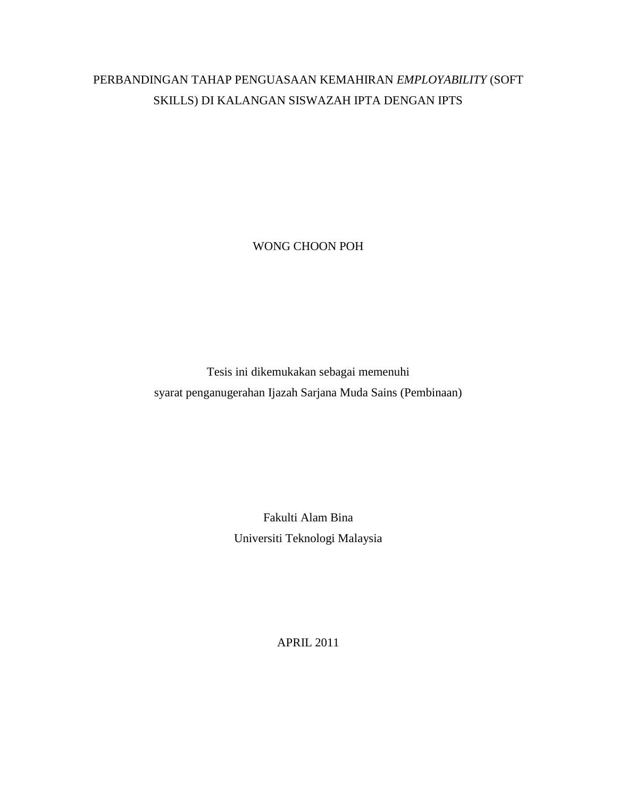## PERBANDINGAN TAHAP PENGUASAAN KEMAHIRAN *EMPLOYABILITY* (SOFT SKILLS) DI KALANGAN SISWAZAH IPTA DENGAN IPTS

WONG CHOON POH

Tesis ini dikemukakan sebagai memenuhi syarat penganugerahan Ijazah Sarjana Muda Sains (Pembinaan)

> Fakulti Alam Bina Universiti Teknologi Malaysia

> > APRIL 2011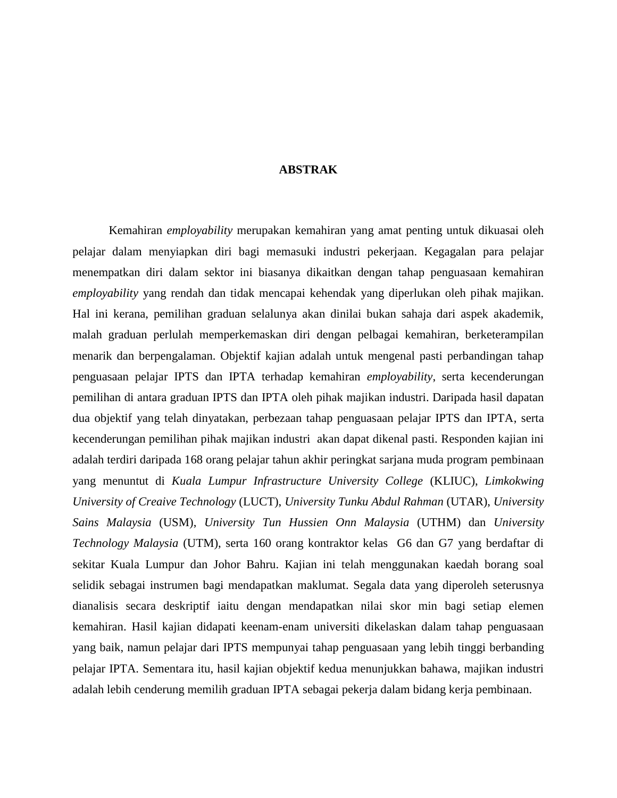## **ABSTRAK**

Kemahiran *employability* merupakan kemahiran yang amat penting untuk dikuasai oleh pelajar dalam menyiapkan diri bagi memasuki industri pekerjaan. Kegagalan para pelajar menempatkan diri dalam sektor ini biasanya dikaitkan dengan tahap penguasaan kemahiran *employability* yang rendah dan tidak mencapai kehendak yang diperlukan oleh pihak majikan. Hal ini kerana, pemilihan graduan selalunya akan dinilai bukan sahaja dari aspek akademik, malah graduan perlulah memperkemaskan diri dengan pelbagai kemahiran, berketerampilan menarik dan berpengalaman. Objektif kajian adalah untuk mengenal pasti perbandingan tahap penguasaan pelajar IPTS dan IPTA terhadap kemahiran *employability*, serta kecenderungan pemilihan di antara graduan IPTS dan IPTA oleh pihak majikan industri. Daripada hasil dapatan dua objektif yang telah dinyatakan, perbezaan tahap penguasaan pelajar IPTS dan IPTA, serta kecenderungan pemilihan pihak majikan industri akan dapat dikenal pasti. Responden kajian ini adalah terdiri daripada 168 orang pelajar tahun akhir peringkat sarjana muda program pembinaan yang menuntut di *Kuala Lumpur Infrastructure University College* (KLIUC), *Limkokwing University of Creaive Technology* (LUCT), *University Tunku Abdul Rahman* (UTAR), *University Sains Malaysia* (USM), *University Tun Hussien Onn Malaysia* (UTHM) dan *University Technology Malaysia* (UTM), serta 160 orang kontraktor kelas G6 dan G7 yang berdaftar di sekitar Kuala Lumpur dan Johor Bahru. Kajian ini telah menggunakan kaedah borang soal selidik sebagai instrumen bagi mendapatkan maklumat. Segala data yang diperoleh seterusnya dianalisis secara deskriptif iaitu dengan mendapatkan nilai skor min bagi setiap elemen kemahiran. Hasil kajian didapati keenam-enam universiti dikelaskan dalam tahap penguasaan yang baik, namun pelajar dari IPTS mempunyai tahap penguasaan yang lebih tinggi berbanding pelajar IPTA. Sementara itu, hasil kajian objektif kedua menunjukkan bahawa, majikan industri adalah lebih cenderung memilih graduan IPTA sebagai pekerja dalam bidang kerja pembinaan.